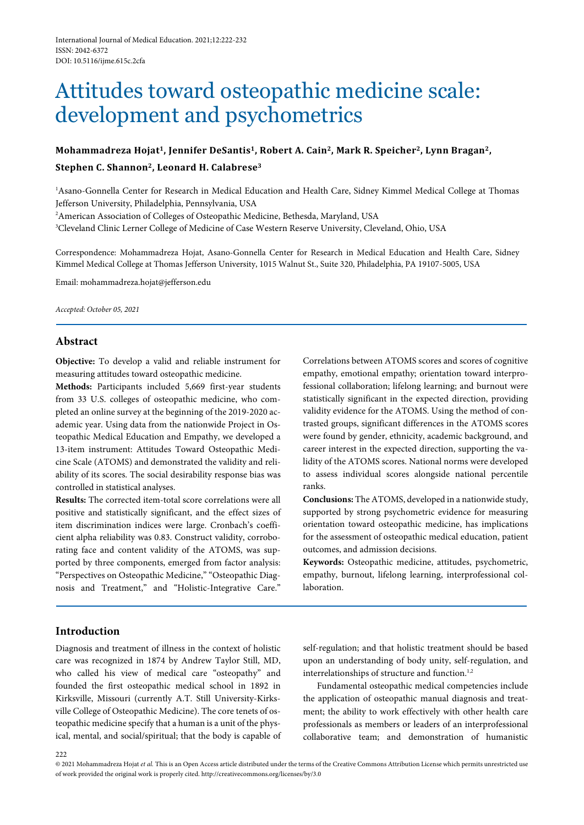# Attitudes toward osteopathic medicine scale: development and psychometrics

# **Mohammadreza Hojat1, Jennifer DeSantis1, Robert A. Cain2, Mark R. Speicher2, Lynn Bragan2, Stephen C. Shannon2, Leonard H. Calabrese3**

<sup>1</sup> Asano-Gonnella Center for Research in Medical Education and Health Care, Sidney Kimmel Medical College at Thomas Jefferson University, Philadelphia, Pennsylvania, USA

2 American Association of Colleges of Osteopathic Medicine, Bethesda, Maryland, USA

3 Cleveland Clinic Lerner College of Medicine of Case Western Reserve University, Cleveland, Ohio, USA

Correspondence: Mohammadreza Hojat, Asano-Gonnella Center for Research in Medical Education and Health Care, Sidney Kimmel Medical College at Thomas Jefferson University, 1015 Walnut St., Suite 320, Philadelphia, PA 19107-5005, USA

Email: mohammadreza.hojat@jefferson.edu

*Accepted: October 05, 2021*

# **Abstract**

**Objective:** To develop a valid and reliable instrument for measuring attitudes toward osteopathic medicine.

**Methods:** Participants included 5,669 first-year students from 33 U.S. colleges of osteopathic medicine, who completed an online survey at the beginning of the 2019-2020 academic year. Using data from the nationwide Project in Osteopathic Medical Education and Empathy, we developed a 13-item instrument: Attitudes Toward Osteopathic Medicine Scale (ATOMS) and demonstrated the validity and reliability of its scores. The social desirability response bias was controlled in statistical analyses.

**Results:** The corrected item-total score correlations were all positive and statistically significant, and the effect sizes of item discrimination indices were large. Cronbach's coefficient alpha reliability was 0.83. Construct validity, corroborating face and content validity of the ATOMS, was supported by three components, emerged from factor analysis: "Perspectives on Osteopathic Medicine," "Osteopathic Diagnosis and Treatment," and "Holistic-Integrative Care."

Correlations between ATOMS scores and scores of cognitive empathy, emotional empathy; orientation toward interprofessional collaboration; lifelong learning; and burnout were statistically significant in the expected direction, providing validity evidence for the ATOMS. Using the method of contrasted groups, significant differences in the ATOMS scores were found by gender, ethnicity, academic background, and career interest in the expected direction, supporting the validity of the ATOMS scores. National norms were developed to assess individual scores alongside national percentile ranks.

**Conclusions:** The ATOMS, developed in a nationwide study, supported by strong psychometric evidence for measuring orientation toward osteopathic medicine, has implications for the assessment of osteopathic medical education, patient outcomes, and admission decisions.

**Keywords:** Osteopathic medicine, attitudes, psychometric, empathy, burnout, lifelong learning, interprofessional collaboration.

# **Introduction**

Diagnosis and treatment of illness in the context of holistic care was recognized in 1874 by Andrew Taylor Still, MD, who called his view of medical care "osteopathy" and founded the first osteopathic medical school in 1892 in Kirksville, Missouri (currently A.T. Still University-Kirksville College of Osteopathic Medicine). The core tenets of osteopathic medicine specify that a human is a unit of the physical, mental, and social/spiritual; that the body is capable of self-regulation; and that holistic treatment should be based upon an understanding of body unity, self-regulation, and interrelationships of structure and function.<sup>1,2</sup>

Fundamental osteopathic medical competencies include the application of osteopathic manual diagnosis and treatment; the ability to work effectively with other health care professionals as members or leaders of an interprofessional collaborative team; and demonstration of humanistic

<sup>© 2021</sup> Mohammadreza Hojat *et al.* This is an Open Access article distributed under the terms of the Creative Commons Attribution License which permits unrestricted use of work provided the original work is properly cited. http://creativecommons.org/licenses/by/3.0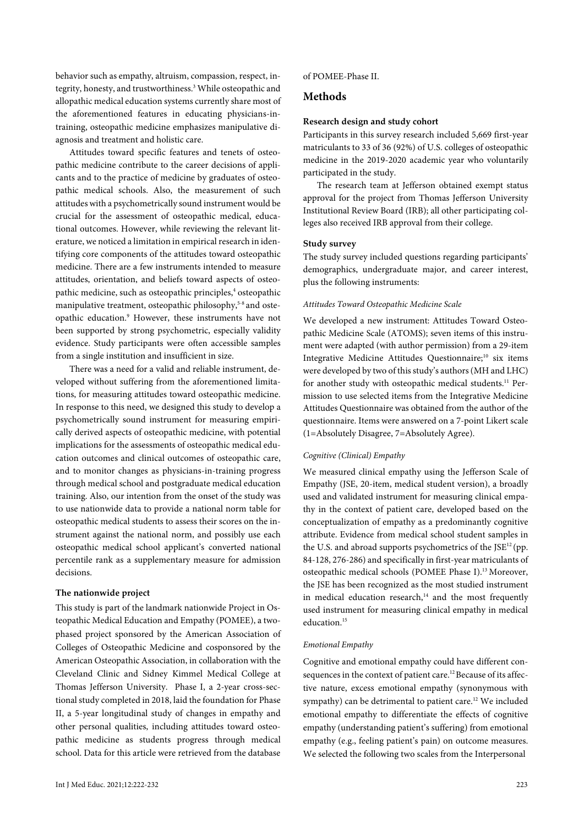behavior such as empathy, altruism, compassion, respect, integrity, honesty, and trustworthiness.<sup>3</sup> While osteopathic and allopathic medical education systems currently share most of the aforementioned features in educating physicians-intraining, osteopathic medicine emphasizes manipulative diagnosis and treatment and holistic care.

Attitudes toward specific features and tenets of osteopathic medicine contribute to the career decisions of applicants and to the practice of medicine by graduates of osteopathic medical schools. Also, the measurement of such attitudes with a psychometrically sound instrument would be crucial for the assessment of osteopathic medical, educational outcomes. However, while reviewing the relevant literature, we noticed a limitation in empirical research in identifying core components of the attitudes toward osteopathic medicine. There are a few instruments intended to measure attitudes, orientation, and beliefs toward aspects of osteopathic medicine, such as osteopathic principles,<sup>4</sup> osteopathic manipulative treatment, osteopathic philosophy,<sup>5-8</sup> and osteopathic education.9 However, these instruments have not been supported by strong psychometric, especially validity evidence. Study participants were often accessible samples from a single institution and insufficient in size.

There was a need for a valid and reliable instrument, developed without suffering from the aforementioned limitations, for measuring attitudes toward osteopathic medicine. In response to this need, we designed this study to develop a psychometrically sound instrument for measuring empirically derived aspects of osteopathic medicine, with potential implications for the assessments of osteopathic medical education outcomes and clinical outcomes of osteopathic care, and to monitor changes as physicians-in-training progress through medical school and postgraduate medical education training. Also, our intention from the onset of the study was to use nationwide data to provide a national norm table for osteopathic medical students to assess their scores on the instrument against the national norm, and possibly use each osteopathic medical school applicant's converted national percentile rank as a supplementary measure for admission decisions.

#### **The nationwide project**

This study is part of the landmark nationwide Project in Osteopathic Medical Education and Empathy (POMEE), a twophased project sponsored by the American Association of Colleges of Osteopathic Medicine and cosponsored by the American Osteopathic Association, in collaboration with the Cleveland Clinic and Sidney Kimmel Medical College at Thomas Jefferson University. Phase I, a 2-year cross-sectional study completed in 2018, laid the foundation for Phase II, a 5-year longitudinal study of changes in empathy and other personal qualities, including attitudes toward osteopathic medicine as students progress through medical school. Data for this article were retrieved from the database

of POMEE-Phase II.

# **Methods**

#### **Research design and study cohort**

Participants in this survey research included 5,669 first-year matriculants to 33 of 36 (92%) of U.S. colleges of osteopathic medicine in the 2019-2020 academic year who voluntarily participated in the study.

The research team at Jefferson obtained exempt status approval for the project from Thomas Jefferson University Institutional Review Board (IRB); all other participating colleges also received IRB approval from their college.

#### **Study survey**

The study survey included questions regarding participants' demographics, undergraduate major, and career interest, plus the following instruments:

#### *Attitudes Toward Osteopathic Medicine Scale*

We developed a new instrument: Attitudes Toward Osteopathic Medicine Scale (ATOMS); seven items of this instrument were adapted (with author permission) from a 29-item Integrative Medicine Attitudes Questionnaire; <sup>10</sup> six items were developed by two of this study's authors (MH and LHC) for another study with osteopathic medical students.<sup>11</sup> Permission to use selected items from the Integrative Medicine Attitudes Questionnaire was obtained from the author of the questionnaire. Items were answered on a 7-point Likert scale (1=Absolutely Disagree, 7=Absolutely Agree).

#### *Cognitive (Clinical) Empathy*

We measured clinical empathy using the Jefferson Scale of Empathy (JSE, 20-item, medical student version), a broadly used and validated instrument for measuring clinical empathy in the context of patient care, developed based on the conceptualization of empathy as a predominantly cognitive attribute. Evidence from medical school student samples in the U.S. and abroad supports psychometrics of the  $\text{JSE}^{12}$  (pp. 84-128, 276-286) and specifically in first-year matriculants of osteopathic medical schools (POMEE Phase I).13 Moreover, the JSE has been recognized as the most studied instrument in medical education research, $14$  and the most frequently used instrument for measuring clinical empathy in medical education.<sup>15</sup>

#### *Emotional Empathy*

Cognitive and emotional empathy could have different consequences in the context of patient care.<sup>12</sup> Because of its affective nature, excess emotional empathy (synonymous with sympathy) can be detrimental to patient care.<sup>12</sup> We included emotional empathy to differentiate the effects of cognitive empathy (understanding patient's suffering) from emotional empathy (e.g., feeling patient's pain) on outcome measures. We selected the following two scales from the Interpersonal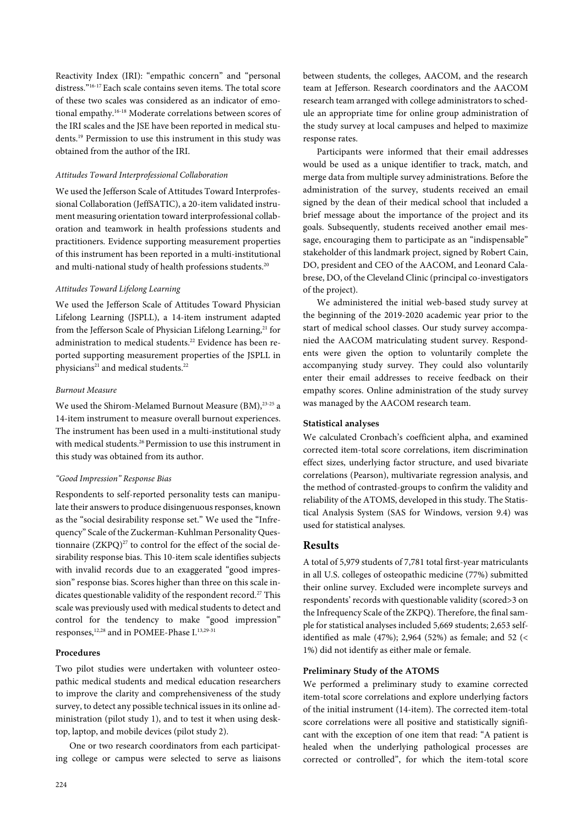Reactivity Index (IRI): "empathic concern" and "personal distress."16-17 Each scale contains seven items. The total score of these two scales was considered as an indicator of emotional empathy.16-18 Moderate correlations between scores of the IRI scales and the JSE have been reported in medical students.19 Permission to use this instrument in this study was obtained from the author of the IRI.

#### *Attitudes Toward Interprofessional Collaboration*

We used the Jefferson Scale of Attitudes Toward Interprofessional Collaboration (JeffSATIC), a 20-item validated instrument measuring orientation toward interprofessional collaboration and teamwork in health professions students and practitioners. Evidence supporting measurement properties of this instrument has been reported in a multi-institutional and multi-national study of health professions students.<sup>20</sup>

#### *Attitudes Toward Lifelong Learning*

We used the Jefferson Scale of Attitudes Toward Physician Lifelong Learning (JSPLL), a 14-item instrument adapted from the Jefferson Scale of Physician Lifelong Learning,<sup>21</sup> for administration to medical students.<sup>22</sup> Evidence has been reported supporting measurement properties of the JSPLL in physicians<sup>21</sup> and medical students.<sup>22</sup>

#### *Burnout Measure*

We used the Shirom-Melamed Burnout Measure (BM), 23-25 a 14-item instrument to measure overall burnout experiences. The instrument has been used in a multi-institutional study with medical students.<sup>26</sup> Permission to use this instrument in this study was obtained from its author.

#### *"Good Impression" Response Bias*

Respondents to self-reported personality tests can manipulate their answers to produce disingenuous responses, known as the "social desirability response set." We used the "Infrequency" Scale of the Zuckerman-Kuhlman Personality Questionnaire  $(ZKPQ)^{27}$  to control for the effect of the social desirability response bias. This 10-item scale identifies subjects with invalid records due to an exaggerated "good impression" response bias. Scores higher than three on this scale indicates questionable validity of the respondent record.<sup>27</sup> This scale was previously used with medical students to detect and control for the tendency to make "good impression" responses,<sup>12,28</sup> and in POMEE-Phase I.<sup>13,29-31</sup>

## **Procedures**

Two pilot studies were undertaken with volunteer osteopathic medical students and medical education researchers to improve the clarity and comprehensiveness of the study survey, to detect any possible technical issues in its online administration (pilot study 1), and to test it when using desktop, laptop, and mobile devices (pilot study 2).

One or two research coordinators from each participating college or campus were selected to serve as liaisons between students, the colleges, AACOM, and the research team at Jefferson. Research coordinators and the AACOM research team arranged with college administrators to schedule an appropriate time for online group administration of the study survey at local campuses and helped to maximize response rates.

Participants were informed that their email addresses would be used as a unique identifier to track, match, and merge data from multiple survey administrations. Before the administration of the survey, students received an email signed by the dean of their medical school that included a brief message about the importance of the project and its goals. Subsequently, students received another email message, encouraging them to participate as an "indispensable" stakeholder of this landmark project, signed by Robert Cain, DO, president and CEO of the AACOM, and Leonard Calabrese, DO, of the Cleveland Clinic (principal co-investigators of the project).

We administered the initial web-based study survey at the beginning of the 2019-2020 academic year prior to the start of medical school classes. Our study survey accompanied the AACOM matriculating student survey. Respondents were given the option to voluntarily complete the accompanying study survey. They could also voluntarily enter their email addresses to receive feedback on their empathy scores. Online administration of the study survey was managed by the AACOM research team.

#### **Statistical analyses**

We calculated Cronbach's coefficient alpha, and examined corrected item-total score correlations, item discrimination effect sizes, underlying factor structure, and used bivariate correlations (Pearson), multivariate regression analysis, and the method of contrasted-groups to confirm the validity and reliability of the ATOMS, developed in this study. The Statistical Analysis System (SAS for Windows, version 9.4) was used for statistical analyses.

# **Results**

A total of 5,979 students of 7,781 total first-year matriculants in all U.S. colleges of osteopathic medicine (77%) submitted their online survey. Excluded were incomplete surveys and respondents' records with questionable validity (scored>3 on the Infrequency Scale of the ZKPQ). Therefore, the final sample for statistical analyses included 5,669 students; 2,653 selfidentified as male (47%); 2,964 (52%) as female; and 52 (< 1%) did not identify as either male or female.

# **Preliminary Study of the ATOMS**

We performed a preliminary study to examine corrected item-total score correlations and explore underlying factors of the initial instrument (14-item). The corrected item-total score correlations were all positive and statistically significant with the exception of one item that read: "A patient is healed when the underlying pathological processes are corrected or controlled", for which the item-total score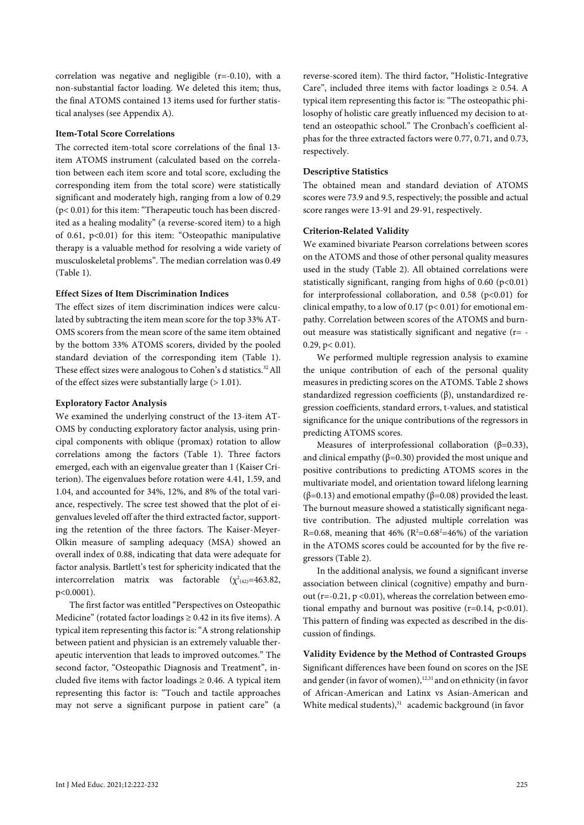correlation was negative and negligible (r=-0.10), with a non-substantial factor loading. We deleted this item; thus, the final ATOMS contained 13 items used for further statistical analyses (see Appendix A).

#### **Item-Total Score Correlations**

The corrected item-total score correlations of the final 13 item ATOMS instrument (calculated based on the correlation between each item score and total score, excluding the corresponding item from the total score) were statistically significant and moderately high, ranging from a low of 0.29 (p< 0.01) for this item: "Therapeutic touch has been discredited as a healing modality" (a reverse-scored item) to a high of 0.61, p<0.01) for this item: "Osteopathic manipulative therapy is a valuable method for resolving a wide variety of musculoskeletal problems". The median correlation was 0.49 (Table 1).

#### **Effect Sizes of Item Discrimination Indices**

The effect sizes of item discrimination indices were calculated by subtracting the item mean score for the top 33% AT-OMS scorers from the mean score of the same item obtained by the bottom 33% ATOMS scorers, divided by the pooled standard deviation of the corresponding item (Table 1). These effect sizes were analogous to Cohen's d statistics.<sup>32</sup> All of the effect sizes were substantially large (> 1.01).

#### **Exploratory Factor Analysis**

We examined the underlying construct of the 13-item AT-OMS by conducting exploratory factor analysis, using principal components with oblique (promax) rotation to allow correlations among the factors (Table 1). Three factors emerged, each with an eigenvalue greater than 1 (Kaiser Criterion). The eigenvalues before rotation were 4.41, 1.59, and 1.04, and accounted for 34%, 12%, and 8% of the total variance, respectively. The scree test showed that the plot of eigenvalues leveled off after the third extracted factor, supporting the retention of the three factors. The Kaiser-Meyer-Olkin measure of sampling adequacy (MSA) showed an overall index of 0.88, indicating that data were adequate for factor analysis. Bartlett's test for sphericity indicated that the intercorrelation matrix was factorable  $(\chi^2_{(42)}=463.82,$ p<0.0001).

The first factor was entitled "Perspectives on Osteopathic Medicine" (rotated factor loadings  $\geq 0.42$  in its five items). A typical item representing this factor is: "A strong relationship between patient and physician is an extremely valuable therapeutic intervention that leads to improved outcomes." The second factor, "Osteopathic Diagnosis and Treatment", included five items with factor loadings  $\geq$  0.46. A typical item representing this factor is: "Touch and tactile approaches may not serve a significant purpose in patient care" (a

reverse-scored item). The third factor, "Holistic-Integrative Care", included three items with factor loadings  $\geq 0.54$ . A typical item representing this factor is: "The osteopathic philosophy of holistic care greatly influenced my decision to attend an osteopathic school." The Cronbach's coefficient alphas for the three extracted factors were 0.77, 0.71, and 0.73, respectively.

#### **Descriptive Statistics**

The obtained mean and standard deviation of ATOMS scores were 73.9 and 9.5, respectively; the possible and actual score ranges were 13-91 and 29-91, respectively.

#### **Criterion-Related Validity**

We examined bivariate Pearson correlations between scores on the ATOMS and those of other personal quality measures used in the study (Table 2). All obtained correlations were statistically significant, ranging from highs of  $0.60$  ( $p<0.01$ ) for interprofessional collaboration, and  $0.58$  (p<0.01) for clinical empathy, to a low of  $0.17$  ( $p < 0.01$ ) for emotional empathy. Correlation between scores of the ATOMS and burnout measure was statistically significant and negative (r= -  $0.29$ ,  $p < 0.01$ ).

We performed multiple regression analysis to examine the unique contribution of each of the personal quality measures in predicting scores on the ATOMS. Table 2 shows standardized regression coefficients (β), unstandardized regression coefficients, standard errors, t-values, and statistical significance for the unique contributions of the regressors in predicting ATOMS scores.

Measures of interprofessional collaboration ( $\beta$ =0.33), and clinical empathy ( $\beta$ =0.30) provided the most unique and positive contributions to predicting ATOMS scores in the multivariate model, and orientation toward lifelong learning (β=0.13) and emotional empathy (β=0.08) provided the least. The burnout measure showed a statistically significant negative contribution. The adjusted multiple correlation was R=0.68, meaning that 46% ( $R^2$ =0.68<sup>2</sup>=46%) of the variation in the ATOMS scores could be accounted for by the five regressors (Table 2).

In the additional analysis, we found a significant inverse association between clinical (cognitive) empathy and burnout ( $r=-0.21$ ,  $p < 0.01$ ), whereas the correlation between emotional empathy and burnout was positive  $(r=0.14, p<0.01)$ . This pattern of finding was expected as described in the discussion of findings.

**Validity Evidence by the Method of Contrasted Groups** Significant differences have been found on scores on the JSE and gender (in favor of women),<sup>12,31</sup> and on ethnicity (in favor of African-American and Latinx vs Asian-American and White medical students),<sup>31</sup> academic background (in favor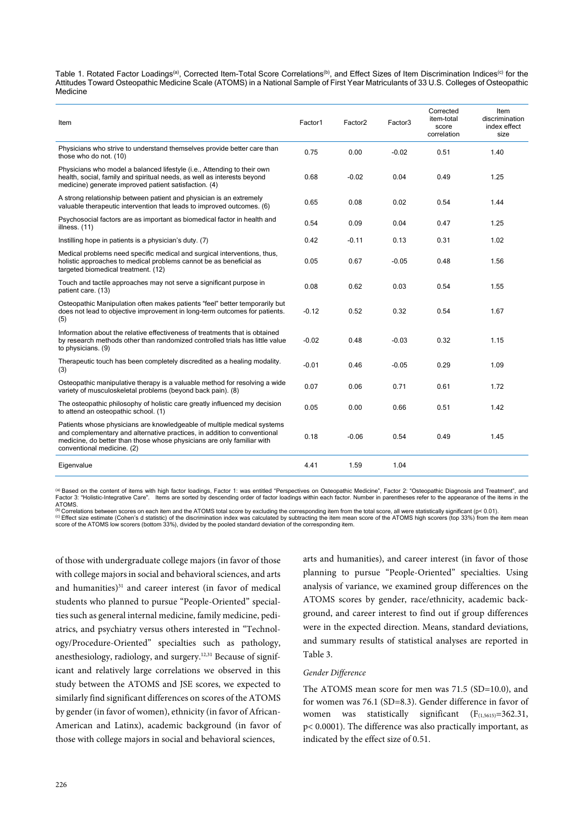Table 1. Rotated Factor Loadings<sup>(a)</sup>, Corrected Item-Total Score Correlations<sup>(b)</sup>, and Effect Sizes of Item Discrimination Indices<sup>(c)</sup> for the Attitudes Toward Osteopathic Medicine Scale (ATOMS) in a National Sample of First Year Matriculants of 33 U.S. Colleges of Osteopathic Medicine

| Item                                                                                                                                                                                                                                                        | Factor1 | Factor <sub>2</sub> | Factor3 | Corrected<br>item-total<br>score<br>correlation | Item<br>discrimination<br>index effect<br>size |
|-------------------------------------------------------------------------------------------------------------------------------------------------------------------------------------------------------------------------------------------------------------|---------|---------------------|---------|-------------------------------------------------|------------------------------------------------|
| Physicians who strive to understand themselves provide better care than<br>those who do not. (10)                                                                                                                                                           | 0.75    | 0.00                | $-0.02$ | 0.51                                            | 1.40                                           |
| Physicians who model a balanced lifestyle (i.e., Attending to their own<br>health, social, family and spiritual needs, as well as interests beyond<br>medicine) generate improved patient satisfaction. (4)                                                 | 0.68    | $-0.02$             | 0.04    | 0.49                                            | 1.25                                           |
| A strong relationship between patient and physician is an extremely<br>valuable therapeutic intervention that leads to improved outcomes. (6)                                                                                                               | 0.65    | 0.08                | 0.02    | 0.54                                            | 1.44                                           |
| Psychosocial factors are as important as biomedical factor in health and<br>illness. (11)                                                                                                                                                                   | 0.54    | 0.09                | 0.04    | 0.47                                            | 1.25                                           |
| Instilling hope in patients is a physician's duty. (7)                                                                                                                                                                                                      | 0.42    | $-0.11$             | 0.13    | 0.31                                            | 1.02                                           |
| Medical problems need specific medical and surgical interventions, thus,<br>holistic approaches to medical problems cannot be as beneficial as<br>targeted biomedical treatment. (12)                                                                       | 0.05    | 0.67                | $-0.05$ | 0.48                                            | 1.56                                           |
| Touch and tactile approaches may not serve a significant purpose in<br>patient care. (13)                                                                                                                                                                   | 0.08    | 0.62                | 0.03    | 0.54                                            | 1.55                                           |
| Osteopathic Manipulation often makes patients "feel" better temporarily but<br>does not lead to objective improvement in long-term outcomes for patients.<br>(5)                                                                                            | $-0.12$ | 0.52                | 0.32    | 0.54                                            | 1.67                                           |
| Information about the relative effectiveness of treatments that is obtained<br>by research methods other than randomized controlled trials has little value<br>to physicians. (9)                                                                           | $-0.02$ | 0.48                | $-0.03$ | 0.32                                            | 1.15                                           |
| Therapeutic touch has been completely discredited as a healing modality.<br>(3)                                                                                                                                                                             | $-0.01$ | 0.46                | $-0.05$ | 0.29                                            | 1.09                                           |
| Osteopathic manipulative therapy is a valuable method for resolving a wide<br>variety of musculoskeletal problems (beyond back pain). (8)                                                                                                                   | 0.07    | 0.06                | 0.71    | 0.61                                            | 1.72                                           |
| The osteopathic philosophy of holistic care greatly influenced my decision<br>to attend an osteopathic school. (1)                                                                                                                                          | 0.05    | 0.00                | 0.66    | 0.51                                            | 1.42                                           |
| Patients whose physicians are knowledgeable of multiple medical systems<br>and complementary and alternative practices, in addition to conventional<br>medicine, do better than those whose physicians are only familiar with<br>conventional medicine. (2) | 0.18    | $-0.06$             | 0.54    | 0.49                                            | 1.45                                           |
| Eigenvalue                                                                                                                                                                                                                                                  | 4.41    | 1.59                | 1.04    |                                                 |                                                |

<sup>(a)</sup> Based on the content of items with high factor loadings, Factor 1: was entitled "Perspectives on Osteopathic Medicine", Factor 2: "Osteopathic Diagnosis and Treatment", and<br>Factor 3: "Holistic-Integrative Care". Item

ATOMS.<br><sup>(b)</sup> Correlations between scores on each item and the ATOMS total score by excluding the corresponding item from the total score, all were statistically significant (p< 0.01).<br><sup>(c)</sup> Effect size estimate (Cohen's d (c) Effect size estimate (Cohen's d statistic) of the discrimination index was calculated by subtracting the item mean score of the ATOMS high scorers (top 33%) from the item mean<br>score of the ATOMS low scorers (bottom 33%

of those with undergraduate college majors (in favor of those with college majors in social and behavioral sciences, and arts and humanities) $31$  and career interest (in favor of medical students who planned to pursue "People-Oriented" specialties such as general internal medicine, family medicine, pediatrics, and psychiatry versus others interested in "Technology/Procedure-Oriented" specialties such as pathology, anesthesiology, radiology, and surgery.12,31 Because of significant and relatively large correlations we observed in this study between the ATOMS and JSE scores, we expected to similarly find significant differences on scores of the ATOMS by gender (in favor of women), ethnicity (in favor of African-American and Latinx), academic background (in favor of those with college majors in social and behavioral sciences,

arts and humanities), and career interest (in favor of those planning to pursue "People-Oriented" specialties. Using analysis of variance, we examined group differences on the ATOMS scores by gender, race/ethnicity, academic background, and career interest to find out if group differences were in the expected direction. Means, standard deviations, and summary results of statistical analyses are reported in Table 3.

#### *Gender Difference*

The ATOMS mean score for men was 71.5 (SD=10.0), and for women was 76.1 (SD=8.3). Gender difference in favor of women was statistically significant  $(F_{(1,5615)}=362.31,$ p< 0.0001). The difference was also practically important, as indicated by the effect size of 0.51.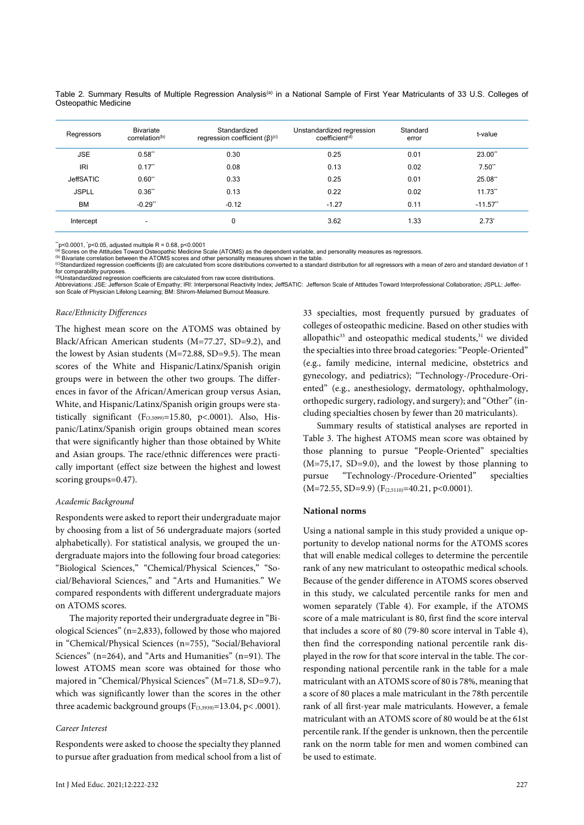Table 2. Summary Results of Multiple Regression Analysis<sup>(a)</sup> in a National Sample of First Year Matriculants of 33 U.S. Colleges of Osteopathic Medicine

| Regressors       | <b>Bivariate</b><br>correlation <sup>(b)</sup> | Standardized<br>regression coefficient $(\beta)^{(c)}$ | Unstandardized regression<br>coefficient <sup>(d)</sup> | Standard<br>error | t-value     |
|------------------|------------------------------------------------|--------------------------------------------------------|---------------------------------------------------------|-------------------|-------------|
| <b>JSE</b>       | $0.58**$                                       | 0.30                                                   | 0.25                                                    | 0.01              | 23.00**     |
| <b>IRI</b>       | $0.17$ **                                      | 0.08                                                   | 0.13                                                    | 0.02              | $7.50**$    |
| <b>JeffSATIC</b> | $0.60**$                                       | 0.33                                                   | 0.25                                                    | 0.01              | 25.08**     |
| <b>JSPLL</b>     | $0.36**$                                       | 0.13                                                   | 0.22                                                    | 0.02              | $11.73**$   |
| <b>BM</b>        | $-0.29**$                                      | $-0.12$                                                | $-1.27$                                                 | 0.11              | $-11.57$ ** |
| Intercept        | $\overline{\phantom{0}}$                       | 0                                                      | 3.62                                                    | 1.33              | $2.73^*$    |

 $r$ <sup>-</sup>p<0.0001,  $r$ <sup>-</sup>p<0.05, adjusted multiple R = 0.68, p<0.0001

(a) Scores on the Attitudes Toward Osteopathic Medicine Scale (ATOMS) as the dependent variable, and personality measures as regressors.<br>(b) Bivariate correlation between the ATOMS scores and other personality measures sho

<sup>(c)</sup>Standardized regression coefficients (β) are calculated from score distributions converted to a standard distribution for all regressors with a mean of zero and standard deviation of 1 for comparability purposes.<br><sup>(d)</sup>Unstandardized regression coefficients are calculated from raw score distributions.

Abbreviations: JSE: Jefferson Scale of Empathy; IRI: Interpersonal Reactivity Index; JeffSATIC: Jefferson Scale of Attitudes Toward Interprofessional Collaboration; JSPLL: Jeffer-<br>son Scale of Physician Lifelong Learning;

#### *Race/Ethnicity Differences*

The highest mean score on the ATOMS was obtained by Black/African American students (M=77.27, SD=9.2), and the lowest by Asian students (M=72.88, SD=9.5). The mean scores of the White and Hispanic/Latinx/Spanish origin groups were in between the other two groups. The differences in favor of the African/American group versus Asian, White, and Hispanic/Latinx/Spanish origin groups were statistically significant  $(F_{(3,5099)}=15.80, p<.0001)$ . Also, Hispanic/Latinx/Spanish origin groups obtained mean scores that were significantly higher than those obtained by White and Asian groups. The race/ethnic differences were practically important (effect size between the highest and lowest scoring groups=0.47).

#### *Academic Background*

Respondents were asked to report their undergraduate major by choosing from a list of 56 undergraduate majors (sorted alphabetically). For statistical analysis, we grouped the undergraduate majors into the following four broad categories: "Biological Sciences," "Chemical/Physical Sciences," "Social/Behavioral Sciences," and "Arts and Humanities." We compared respondents with different undergraduate majors on ATOMS scores.

The majority reported their undergraduate degree in "Biological Sciences" (n=2,833), followed by those who majored in "Chemical/Physical Sciences (n=755), "Social/Behavioral Sciences" (n=264), and "Arts and Humanities" (n=91). The lowest ATOMS mean score was obtained for those who majored in "Chemical/Physical Sciences" (M=71.8, SD=9.7), which was significantly lower than the scores in the other three academic background groups  $(F_{(3,3939)}=13.04, p<.0001)$ .

#### *Career Interest*

Respondents were asked to choose the specialty they planned to pursue after graduation from medical school from a list of

33 specialties, most frequently pursued by graduates of colleges of osteopathic medicine. Based on other studies with allopathic<sup>33</sup> and osteopathic medical students, $31$  we divided the specialties into three broad categories: "People-Oriented" (e.g., family medicine, internal medicine, obstetrics and gynecology, and pediatrics); "Technology-/Procedure-Oriented" (e.g., anesthesiology, dermatology, ophthalmology, orthopedic surgery, radiology, and surgery); and "Other" (including specialties chosen by fewer than 20 matriculants).

Summary results of statistical analyses are reported in Table 3. The highest ATOMS mean score was obtained by those planning to pursue "People-Oriented" specialties (M=75,17, SD=9.0), and the lowest by those planning to pursue "Technology-/Procedure-Oriented" specialties  $(M=72.55, SD=9.9)$   $(F<sub>(2,5110)</sub>=40.21, p<0.0001)$ .

#### **National norms**

Using a national sample in this study provided a unique opportunity to develop national norms for the ATOMS scores that will enable medical colleges to determine the percentile rank of any new matriculant to osteopathic medical schools. Because of the gender difference in ATOMS scores observed in this study, we calculated percentile ranks for men and women separately (Table 4). For example, if the ATOMS score of a male matriculant is 80, first find the score interval that includes a score of 80 (79-80 score interval in Table 4), then find the corresponding national percentile rank displayed in the row for that score interval in the table. The corresponding national percentile rank in the table for a male matriculant with an ATOMS score of 80 is 78%, meaning that a score of 80 places a male matriculant in the 78th percentile rank of all first-year male matriculants. However, a female matriculant with an ATOMS score of 80 would be at the 61st percentile rank. If the gender is unknown, then the percentile rank on the norm table for men and women combined can be used to estimate.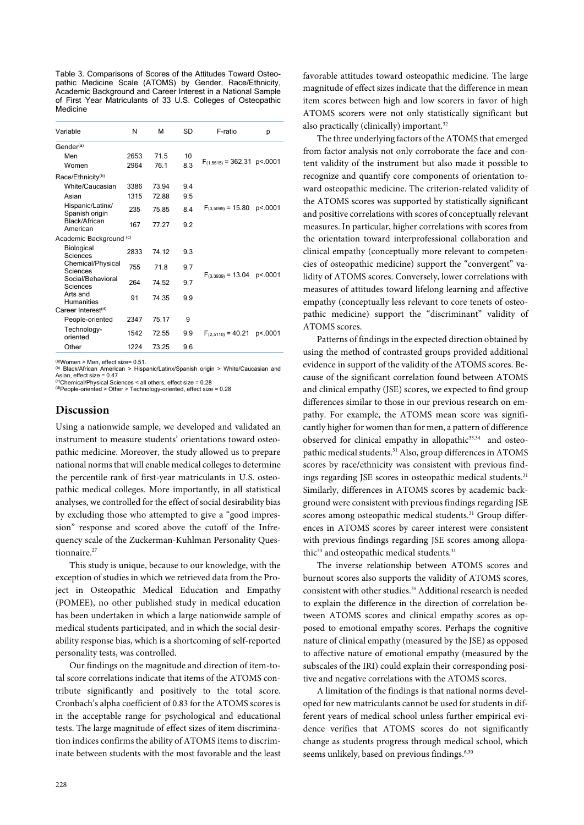Table 3. Comparisons of Scores of the Attitudes Toward Osteopathic Medicine Scale (ATOMS) by Gender, Race/Ethnicity, Academic Background and Career Interest in a National Sample of First Year Matriculants of 33 U.S. Colleges of Osteopathic Medicine

| Variable                           | N    | М     | SD  | F-ratio                                   | р       |  |  |
|------------------------------------|------|-------|-----|-------------------------------------------|---------|--|--|
| Gender <sup>(a)</sup>              |      |       |     |                                           |         |  |  |
| Men                                | 2653 | 71.5  | 10  |                                           |         |  |  |
| Women                              | 2964 | 761   | 8.3 | $F_{(1,5615)} = 362.31 \text{ p} < .0001$ |         |  |  |
| Race/Ethnicity <sup>(b)</sup>      |      |       |     |                                           |         |  |  |
| White/Caucasian                    | 3386 | 73.94 | 9.4 |                                           |         |  |  |
| Asian                              | 1315 | 72.88 | 9.5 |                                           |         |  |  |
| Hispanic/Latinx/<br>Spanish origin | 235  | 75.85 | 8.4 | $F_{(3.5099)} = 15.80 \text{ p} < .0001$  |         |  |  |
| Black/African<br>American          | 167  | 77 27 | 9.2 |                                           |         |  |  |
| Academic Background (c)            |      |       |     |                                           |         |  |  |
| Biological<br>Sciences             | 2833 | 74 12 | 9.3 |                                           | p<.0001 |  |  |
| Chemical/Physical<br>Sciences      | 755  | 718   | 9.7 | $F_{(3.3939)} = 13.04$                    |         |  |  |
| Social/Behavioral<br>Sciences      | 264  | 74.52 | 9.7 |                                           |         |  |  |
| Arts and<br><b>Humanities</b>      | 91   | 74.35 | 9.9 |                                           |         |  |  |
| Career Interest <sup>(d)</sup>     |      |       |     |                                           |         |  |  |
| People-oriented                    | 2347 | 75.17 | 9   |                                           |         |  |  |
| Technology-<br>oriented            | 1542 | 72.55 | 9.9 | $F_{(2,5110)} = 40.21$                    | p<.0001 |  |  |
| Other                              | 1224 | 73.25 | 9.6 |                                           |         |  |  |

 $(a)$ Women > Men, effect size= 0.51

(b) Black/African American > Hispanic/Latinx/Spanish origin > White/Caucasian and Asian, effect size  $= 0.47$ 

(c)Chemical/Physical Sciences < all others, effect size = 0.28 (d)People-oriented > Other > Technology-oriented, effect size = 0.28

#### **Discussion**

Using a nationwide sample, we developed and validated an instrument to measure students' orientations toward osteopathic medicine. Moreover, the study allowed us to prepare national norms that will enable medical colleges to determine the percentile rank of first-year matriculants in U.S. osteopathic medical colleges. More importantly, in all statistical analyses, we controlled for the effect of social desirability bias by excluding those who attempted to give a "good impression" response and scored above the cutoff of the Infrequency scale of the Zuckerman-Kuhlman Personality Questionnaire.<sup>27</sup>

This study is unique, because to our knowledge, with the exception of studies in which we retrieved data from the Project in Osteopathic Medical Education and Empathy (POMEE), no other published study in medical education has been undertaken in which a large nationwide sample of medical students participated, and in which the social desirability response bias, which is a shortcoming of self-reported personality tests, was controlled.

Our findings on the magnitude and direction of item-total score correlations indicate that items of the ATOMS contribute significantly and positively to the total score. Cronbach's alpha coefficient of 0.83 for the ATOMS scores is in the acceptable range for psychological and educational tests. The large magnitude of effect sizes of item discrimination indices confirms the ability of ATOMS items to discriminate between students with the most favorable and the least favorable attitudes toward osteopathic medicine. The large magnitude of effect sizes indicate that the difference in mean item scores between high and low scorers in favor of high ATOMS scorers were not only statistically significant but also practically (clinically) important.<sup>32</sup>

The three underlying factors of the ATOMS that emerged from factor analysis not only corroborate the face and content validity of the instrument but also made it possible to recognize and quantify core components of orientation toward osteopathic medicine. The criterion-related validity of the ATOMS scores was supported by statistically significant and positive correlations with scores of conceptually relevant measures. In particular, higher correlations with scores from the orientation toward interprofessional collaboration and clinical empathy (conceptually more relevant to competencies of osteopathic medicine) support the "convergent" validity of ATOMS scores. Conversely, lower correlations with measures of attitudes toward lifelong learning and affective empathy (conceptually less relevant to core tenets of osteopathic medicine) support the "discriminant" validity of ATOMS scores.

Patterns of findings in the expected direction obtained by using the method of contrasted groups provided additional evidence in support of the validity of the ATOMS scores. Because of the significant correlation found between ATOMS and clinical empathy (JSE) scores, we expected to find group differences similar to those in our previous research on empathy. For example, the ATOMS mean score was significantly higher for women than for men, a pattern of difference observed for clinical empathy in allopathic<sup>33,34</sup> and osteopathic medical students.<sup>31</sup> Also, group differences in ATOMS scores by race/ethnicity was consistent with previous findings regarding JSE scores in osteopathic medical students.<sup>31</sup> Similarly, differences in ATOMS scores by academic background were consistent with previous findings regarding JSE scores among osteopathic medical students.<sup>31</sup> Group differences in ATOMS scores by career interest were consistent with previous findings regarding JSE scores among allopathic<sup>33</sup> and osteopathic medical students.<sup>31</sup>

The inverse relationship between ATOMS scores and burnout scores also supports the validity of ATOMS scores, consistent with other studies.<sup>35</sup> Additional research is needed to explain the difference in the direction of correlation between ATOMS scores and clinical empathy scores as opposed to emotional empathy scores. Perhaps the cognitive nature of clinical empathy (measured by the JSE) as opposed to affective nature of emotional empathy (measured by the subscales of the IRI) could explain their corresponding positive and negative correlations with the ATOMS scores.

A limitation of the findings is that national norms developed for new matriculants cannot be used for students in different years of medical school unless further empirical evidence verifies that ATOMS scores do not significantly change as students progress through medical school, which seems unlikely, based on previous findings.<sup>6,30</sup>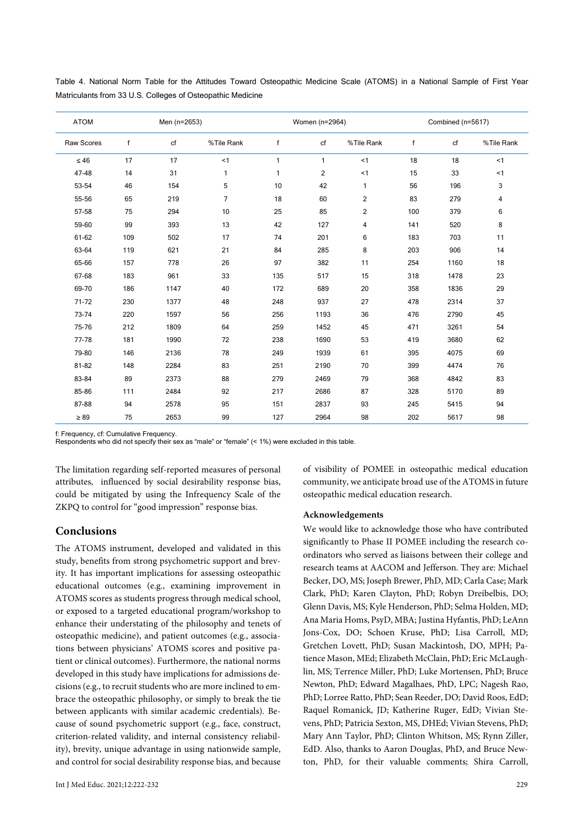| <b>ATOM</b> | Men (n=2653) |      |                |              | Women (n=2964) |                | Combined (n=5617) |      |            |
|-------------|--------------|------|----------------|--------------|----------------|----------------|-------------------|------|------------|
| Raw Scores  | $\mathbf{f}$ | cf   | %Tile Rank     | $\mathsf{f}$ | cf             | %Tile Rank     | f                 | cf   | %Tile Rank |
| $\leq 46$   | 17           | 17   | < 1            | $\mathbf{1}$ | 1              | < 1            | 18                | 18   | < 1        |
| 47-48       | 14           | 31   | 1              | $\mathbf{1}$ | $\overline{c}$ | $<$ 1          | 15                | 33   | <1         |
| 53-54       | 46           | 154  | 5              | 10           | 42             | 1              | 56                | 196  | 3          |
| 55-56       | 65           | 219  | $\overline{7}$ | 18           | 60             | 2              | 83                | 279  | 4          |
| 57-58       | 75           | 294  | 10             | 25           | 85             | $\overline{2}$ | 100               | 379  | 6          |
| 59-60       | 99           | 393  | 13             | 42           | 127            | 4              | 141               | 520  | 8          |
| 61-62       | 109          | 502  | 17             | 74           | 201            | 6              | 183               | 703  | 11         |
| 63-64       | 119          | 621  | 21             | 84           | 285            | 8              | 203               | 906  | 14         |
| 65-66       | 157          | 778  | 26             | 97           | 382            | 11             | 254               | 1160 | 18         |
| 67-68       | 183          | 961  | 33             | 135          | 517            | 15             | 318               | 1478 | 23         |
| 69-70       | 186          | 1147 | 40             | 172          | 689            | 20             | 358               | 1836 | 29         |
| 71-72       | 230          | 1377 | 48             | 248          | 937            | 27             | 478               | 2314 | 37         |
| 73-74       | 220          | 1597 | 56             | 256          | 1193           | 36             | 476               | 2790 | 45         |
| 75-76       | 212          | 1809 | 64             | 259          | 1452           | 45             | 471               | 3261 | 54         |
| 77-78       | 181          | 1990 | 72             | 238          | 1690           | 53             | 419               | 3680 | 62         |
| 79-80       | 146          | 2136 | 78             | 249          | 1939           | 61             | 395               | 4075 | 69         |
| 81-82       | 148          | 2284 | 83             | 251          | 2190           | 70             | 399               | 4474 | 76         |
| 83-84       | 89           | 2373 | 88             | 279          | 2469           | 79             | 368               | 4842 | 83         |
| 85-86       | 111          | 2484 | 92             | 217          | 2686           | 87             | 328               | 5170 | 89         |
| 87-88       | 94           | 2578 | 95             | 151          | 2837           | 93             | 245               | 5415 | 94         |
| $\geq 89$   | 75           | 2653 | 99             | 127          | 2964           | 98             | 202               | 5617 | 98         |

Table 4. National Norm Table for the Attitudes Toward Osteopathic Medicine Scale (ATOMS) in a National Sample of First Year Matriculants from 33 U.S. Colleges of Osteopathic Medicine

f: Frequency, cf: Cumulative Frequency.

Respondents who did not specify their sex as "male" or "female" (< 1%) were excluded in this table.

The limitation regarding self-reported measures of personal attributes, influenced by social desirability response bias, could be mitigated by using the Infrequency Scale of the ZKPQ to control for "good impression" response bias.

# **Conclusions**

The ATOMS instrument, developed and validated in this study, benefits from strong psychometric support and brevity. It has important implications for assessing osteopathic educational outcomes (e.g., examining improvement in ATOMS scores as students progress through medical school, or exposed to a targeted educational program/workshop to enhance their understating of the philosophy and tenets of osteopathic medicine), and patient outcomes (e.g., associations between physicians' ATOMS scores and positive patient or clinical outcomes). Furthermore, the national norms developed in this study have implications for admissions decisions (e.g., to recruit students who are more inclined to embrace the osteopathic philosophy, or simply to break the tie between applicants with similar academic credentials). Because of sound psychometric support (e.g., face, construct, criterion-related validity, and internal consistency reliability), brevity, unique advantage in using nationwide sample, and control for social desirability response bias, and because

of visibility of POMEE in osteopathic medical education community, we anticipate broad use of the ATOMS in future osteopathic medical education research.

#### **Acknowledgements**

We would like to acknowledge those who have contributed significantly to Phase II POMEE including the research coordinators who served as liaisons between their college and research teams at AACOM and Jefferson. They are: Michael Becker, DO, MS; Joseph Brewer, PhD, MD; Carla Case; Mark Clark, PhD; Karen Clayton, PhD; Robyn Dreibelbis, DO; Glenn Davis, MS; Kyle Henderson, PhD; Selma Holden, MD; Ana Maria Homs, PsyD, MBA; Justina Hyfantis, PhD; LeAnn Jons-Cox, DO; Schoen Kruse, PhD; Lisa Carroll, MD; Gretchen Lovett, PhD; Susan Mackintosh, DO, MPH; Patience Mason, MEd; Elizabeth McClain, PhD; Eric McLaughlin, MS; Terrence Miller, PhD; Luke Mortensen, PhD; Bruce Newton, PhD; Edward Magalhaes, PhD, LPC; Nagesh Rao, PhD; Lorree Ratto, PhD; Sean Reeder, DO; David Roos, EdD; Raquel Romanick, JD; Katherine Ruger, EdD; Vivian Stevens, PhD; Patricia Sexton, MS, DHEd; Vivian Stevens, PhD; Mary Ann Taylor, PhD; Clinton Whitson, MS; Rynn Ziller, EdD. Also, thanks to Aaron Douglas, PhD, and Bruce Newton, PhD, for their valuable comments; Shira Carroll,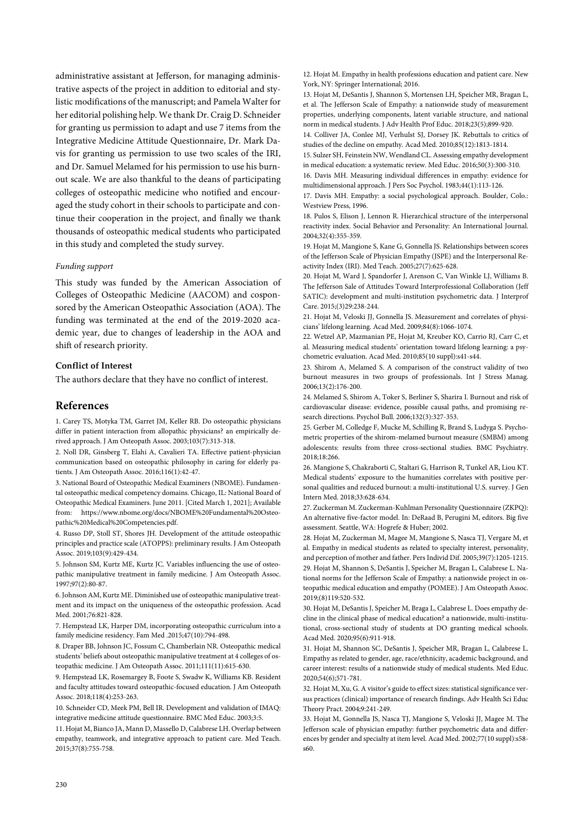administrative assistant at Jefferson, for managing administrative aspects of the project in addition to editorial and stylistic modifications of the manuscript; and Pamela Walter for her editorial polishing help. We thank Dr. Craig D. Schneider for granting us permission to adapt and use 7 items from the Integrative Medicine Attitude Questionnaire, Dr. Mark Davis for granting us permission to use two scales of the IRI, and Dr. Samuel Melamed for his permission to use his burnout scale. We are also thankful to the deans of participating colleges of osteopathic medicine who notified and encouraged the study cohort in their schools to participate and continue their cooperation in the project, and finally we thank thousands of osteopathic medical students who participated in this study and completed the study survey.

#### *Funding support*

This study was funded by the American Association of Colleges of Osteopathic Medicine (AACOM) and cosponsored by the American Osteopathic Association (AOA). The funding was terminated at the end of the 2019-2020 academic year, due to changes of leadership in the AOA and shift of research priority.

#### **Conflict of Interest**

The authors declare that they have no conflict of interest.

# **References**

1. Carey TS, Motyka TM, Garret JM, Keller RB. Do osteopathic physicians differ in patient interaction from allopathic physicians? an empirically derived approach. J Am Osteopath Assoc. 2003;103(7):313-318.

2. Noll DR, Ginsberg T, Elahi A, Cavalieri TA. Effective patient-physician communication based on osteopathic philosophy in caring for elderly patients. J Am Osteopath Assoc. 2016;116(1):42-47.

3. National Board of Osteopathic Medical Examiners (NBOME). Fundamental osteopathic medical competency domains. Chicago, IL: National Board of Osteopathic Medical Examiners. June 2011. [Cited March 1, 2021]; Available from: https://www.nbome.org/docs/NBOME%20Fundamental%20Osteopathic%20Medical%20Competencies.pdf.

4. Russo DP, Stoll ST, Shores JH. Development of the attitude osteopathic principles and practice scale (ATOPPS): preliminary results. J Am Osteopath Assoc. 2019;103(9):429-434.

5. Johnson SM, Kurtz ME, Kurtz JC. Variables influencing the use of osteopathic manipulative treatment in family medicine. J Am Osteopath Assoc. 1997;97(2):80-87.

6. Johnson AM, Kurtz ME. Diminished use of osteopathic manipulative treatment and its impact on the uniqueness of the osteopathic profession. Acad Med. 2001;76:821-828.

7. Hempstead LK, Harper DM, incorporating osteopathic curriculum into a family medicine residency. Fam Med .2015;47(10):794-498.

8. Draper BB, Johnson JC, Fossum C, Chamberlain NR. Osteopathic medical students' beliefs about osteopathic manipulative treatment at 4 colleges of osteopathic medicine. J Am Osteopath Assoc. 2011;111(11):615-630.

9. Hempstead LK, Rosemargey B, Foote S, Swadw K, Williams KB. Resident and faculty attitudes toward osteopathic-focused education. J Am Osteopath Assoc. 2018;118(4):253-263.

10. Schneider CD, Meek PM, Bell IR. Development and validation of IMAQ: integrative medicine attitude questionnaire. BMC Med Educ. 2003;3:5.

11. Hojat M, Bianco JA, Mann D, Massello D, Calabrese LH. Overlap between empathy, teamwork, and integrative approach to patient care. Med Teach. 2015;37(8):755-758.

12. Hojat M. Empathy in health professions education and patient care. New York, NY: Springer International; 2016.

13. Hojat M, DeSantis J, Shannon S, Mortensen LH, Speicher MR, Bragan L, et al. The Jefferson Scale of Empathy: a nationwide study of measurement properties, underlying components, latent variable structure, and national norm in medical students. J Adv Health Prof Educ. 2018;23(5);899-920.

14. Colliver JA, Conlee MJ, Verhulst SJ, Dorsey JK. Rebuttals to critics of studies of the decline on empathy. Acad Med. 2010;85(12):1813-1814.

15. Sulzer SH, Feinstein NW, Wendland CL. Assessing empathy development in medical education: a systematic review. Med Educ. 2016;50(3):300-310.

16. Davis MH. Measuring individual differences in empathy: evidence for multidimensional approach. J Pers Soc Psychol. 1983;44(1):113-126.

17. Davis MH. Empathy: a social psychological approach. Boulder, Colo.: Westview Press, 1996.

18. Pulos S, Elison J, Lennon R. Hierarchical structure of the interpersonal reactivity index. Social Behavior and Personality: An International Journal. 2004;32(4):355-359.

19. Hojat M, Mangione S, Kane G, Gonnella JS. Relationships between scores of the Jefferson Scale of Physician Empathy (JSPE) and the Interpersonal Reactivity Index (IRI). Med Teach. 2005;27(7):625-628.

20. Hojat M, Ward J, Spandorfer J, Arenson C, Van Winkle LJ, Williams B. The Jefferson Sale of Attitudes Toward Interprofessional Collaboration (Jeff SATIC): development and multi-institution psychometric data. J Interprof Care. 2015;(3)29:238-244.

21. Hojat M, Veloski JJ, Gonnella JS. Measurement and correlates of physicians' lifelong learning. Acad Med. 2009;84(8):1066-1074.

22. Wetzel AP, Mazmanian PE, Hojat M, Kreuber KO, Carrio RJ, Carr C, et al. Measuring medical students' orientation toward lifelong learning: a psychometric evaluation. Acad Med. 2010;85(10 suppl):s41-s44.

23. Shirom A, Melamed S. A comparison of the construct validity of two burnout measures in two groups of professionals. Int J Stress Manag. 2006;13(2):176-200.

24. Melamed S, Shirom A, Toker S, Berliner S, Sharira I. Burnout and risk of cardiovascular disease: evidence, possible causal paths, and promising research directions. Psychol Bull. 2006;132(3):327-353.

25. Gerber M, Colledge F, Mucke M, Schilling R, Brand S, Ludyga S. Psychometric properties of the shirom-melamed burnout measure (SMBM) among adolescents: results from three cross-sectional studies. BMC Psychiatry. 2018;18:266.

26. Mangione S, Chakraborti C, Staltari G, Harrison R, Tunkel AR, Liou KT. Medical students' exposure to the humanities correlates with positive personal qualities and reduced burnout: a multi-institutional U.S. survey. J Gen Intern Med. 2018;33:628-634.

27. Zuckerman M. Zuckerman-Kuhlman Personality Questionnaire (ZKPQ): An alternative five-factor model. In: DeRaad B, Perugini M, editors. Big five assessment. Seattle, WA: Hogrefe & Huber; 2002.

28. Hojat M, Zuckerman M, Magee M, Mangione S, Nasca TJ, Vergare M, et al. Empathy in medical students as related to specialty interest, personality, and perception of mother and father. Pers Individ Dif. 2005;39(7):1205-1215. 29. Hojat M, Shannon S, DeSantis J, Speicher M, Bragan L, Calabrese L. National norms for the Jefferson Scale of Empathy: a nationwide project in osteopathic medical education and empathy (POMEE). J Am Osteopath Assoc. 2019;(8)119:520-532.

30. Hojat M, DeSantis J, Speicher M, Braga L, Calabrese L. Does empathy decline in the clinical phase of medical education? a nationwide, multi-institutional, cross-sectional study of students at DO granting medical schools. Acad Med. 2020;95(6):911-918.

31. Hojat M, Shannon SC, DeSantis J, Speicher MR, Bragan L, Calabrese L. Empathy as related to gender, age, race/ethnicity, academic background, and career interest: results of a nationwide study of medical students. Med Educ. 2020;54(6);571-781.

32. Hojat M, Xu, G. A visitor's guide to effect sizes: statistical significance versus practices (clinical) importance of research findings. Adv Health Sci Educ Theory Pract. 2004;9:241-249.

33. Hojat M, Gonnella JS, Nasca TJ, Mangione S, Veloski JJ, Magee M. The Jefferson scale of physician empathy: further psychometric data and differences by gender and specialty at item level. Acad Med. 2002;77(10 suppl):s58 s60.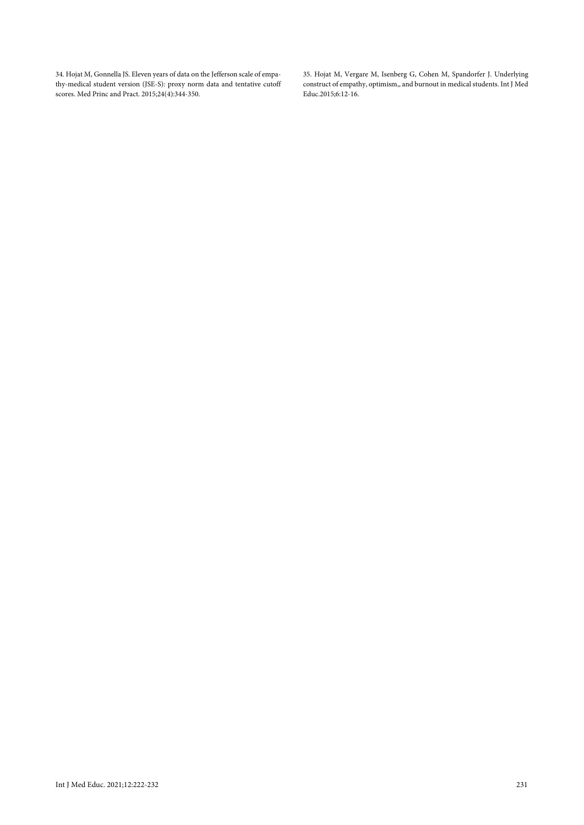34. Hojat M, Gonnella JS. Eleven years of data on the Jefferson scale of empathy-medical student version (JSE-S): proxy norm data and tentative cutoff scores. Med Princ and Pract. 2015;24(4):344-350.

35. Hojat M, Vergare M, Isenberg G, Cohen M, Spandorfer J. Underlying construct of empathy, optimism,, and burnout in medical students. Int J Med Educ.2015;6:12-16.